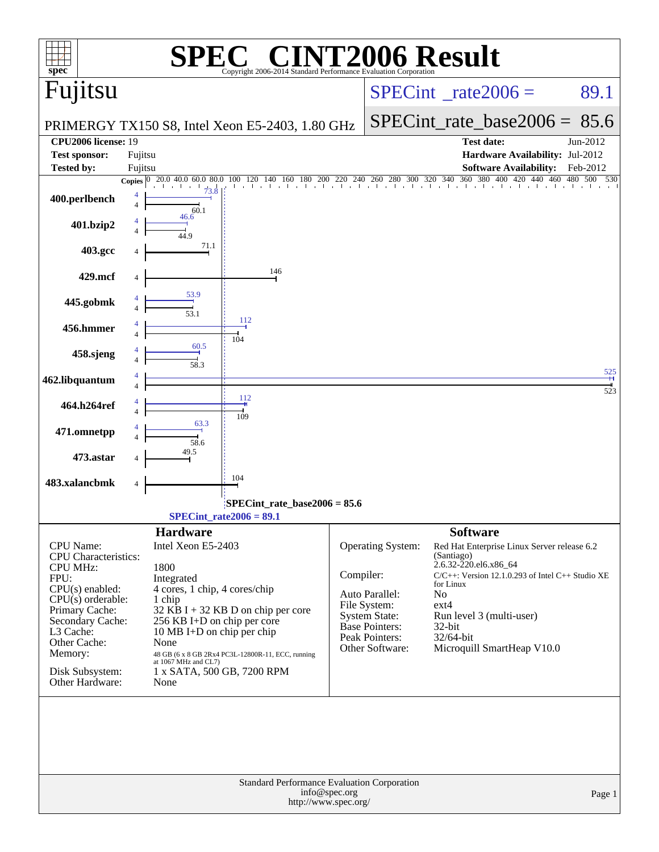| $spec^*$                                                                                                                                                                                                                            | C® CINT2006 Result<br>Copyright 2006-2014 Standard Performance Evaluation Corporation                                                                                                                                                                                                                                                  |                                       |                                                                                                                             |                                                                                                                                                                                                                                                                                |            |
|-------------------------------------------------------------------------------------------------------------------------------------------------------------------------------------------------------------------------------------|----------------------------------------------------------------------------------------------------------------------------------------------------------------------------------------------------------------------------------------------------------------------------------------------------------------------------------------|---------------------------------------|-----------------------------------------------------------------------------------------------------------------------------|--------------------------------------------------------------------------------------------------------------------------------------------------------------------------------------------------------------------------------------------------------------------------------|------------|
| Fujitsu                                                                                                                                                                                                                             |                                                                                                                                                                                                                                                                                                                                        |                                       |                                                                                                                             | $SPECint^{\circ}$ <sub>_rate2006</sub> =                                                                                                                                                                                                                                       | 89.1       |
|                                                                                                                                                                                                                                     | PRIMERGY TX150 S8, Intel Xeon E5-2403, 1.80 GHz                                                                                                                                                                                                                                                                                        |                                       |                                                                                                                             | $SPECint_rate_base2006 = 85.6$                                                                                                                                                                                                                                                 |            |
| <b>CPU2006 license: 19</b><br><b>Test sponsor:</b>                                                                                                                                                                                  | Fujitsu                                                                                                                                                                                                                                                                                                                                |                                       |                                                                                                                             | <b>Test date:</b><br>Hardware Availability: Jul-2012                                                                                                                                                                                                                           | Jun-2012   |
| <b>Tested by:</b>                                                                                                                                                                                                                   | Fujitsu                                                                                                                                                                                                                                                                                                                                |                                       |                                                                                                                             | <b>Software Availability:</b><br>440 460<br>420                                                                                                                                                                                                                                | Feb-2012   |
| 400.perlbench                                                                                                                                                                                                                       | 140 160 180<br>20.0 40.0 60.0 80.0<br>100<br>120<br>Copies $ 0 $<br>73.8<br>4<br>$\overline{4}$<br>60.1                                                                                                                                                                                                                                |                                       |                                                                                                                             | $200$ 220 240 260 280 300 320 340 360 380 400                                                                                                                                                                                                                                  | 480<br>500 |
| 401.bzip2                                                                                                                                                                                                                           | 46.6<br>449                                                                                                                                                                                                                                                                                                                            |                                       |                                                                                                                             |                                                                                                                                                                                                                                                                                |            |
| 403.gcc                                                                                                                                                                                                                             | 71.1                                                                                                                                                                                                                                                                                                                                   |                                       |                                                                                                                             |                                                                                                                                                                                                                                                                                |            |
| 429.mcf                                                                                                                                                                                                                             | 146                                                                                                                                                                                                                                                                                                                                    |                                       |                                                                                                                             |                                                                                                                                                                                                                                                                                |            |
| 445.gobmk                                                                                                                                                                                                                           | 53.9                                                                                                                                                                                                                                                                                                                                   |                                       |                                                                                                                             |                                                                                                                                                                                                                                                                                |            |
| 456.hmmer                                                                                                                                                                                                                           | 53.1<br>112<br>4                                                                                                                                                                                                                                                                                                                       |                                       |                                                                                                                             |                                                                                                                                                                                                                                                                                |            |
| 458.sjeng                                                                                                                                                                                                                           | 104<br>60.5                                                                                                                                                                                                                                                                                                                            |                                       |                                                                                                                             |                                                                                                                                                                                                                                                                                |            |
| 462.libquantum                                                                                                                                                                                                                      | 58.3<br>4                                                                                                                                                                                                                                                                                                                              |                                       |                                                                                                                             |                                                                                                                                                                                                                                                                                | 525        |
| 464.h264ref                                                                                                                                                                                                                         | 112<br>4                                                                                                                                                                                                                                                                                                                               |                                       |                                                                                                                             |                                                                                                                                                                                                                                                                                | 523        |
| 471.omnetpp                                                                                                                                                                                                                         | 109<br>63.3                                                                                                                                                                                                                                                                                                                            |                                       |                                                                                                                             |                                                                                                                                                                                                                                                                                |            |
| 473.astar                                                                                                                                                                                                                           | 58.6<br>49.5                                                                                                                                                                                                                                                                                                                           |                                       |                                                                                                                             |                                                                                                                                                                                                                                                                                |            |
| 483.xalancbmk                                                                                                                                                                                                                       | 104<br>4                                                                                                                                                                                                                                                                                                                               |                                       |                                                                                                                             |                                                                                                                                                                                                                                                                                |            |
|                                                                                                                                                                                                                                     | SPECint_rate_base2006 = 85.6                                                                                                                                                                                                                                                                                                           |                                       |                                                                                                                             |                                                                                                                                                                                                                                                                                |            |
|                                                                                                                                                                                                                                     | SPECint rate $2006 = 89.1$                                                                                                                                                                                                                                                                                                             |                                       |                                                                                                                             |                                                                                                                                                                                                                                                                                |            |
| CPU Name:<br><b>CPU</b> Characteristics:<br><b>CPU MHz:</b><br>FPU:<br>$CPU(s)$ enabled:<br>$CPU(s)$ orderable:<br>Primary Cache:<br>Secondary Cache:<br>L3 Cache:<br>Other Cache:<br>Memory:<br>Disk Subsystem:<br>Other Hardware: | <b>Hardware</b><br>Intel Xeon E5-2403<br>1800<br>Integrated<br>4 cores, 1 chip, 4 cores/chip<br>1 chip<br>$32$ KB I + 32 KB D on chip per core<br>256 KB I+D on chip per core<br>10 MB I+D on chip per chip<br>None<br>48 GB (6 x 8 GB 2Rx4 PC3L-12800R-11, ECC, running<br>at 1067 MHz and CL7)<br>1 x SATA, 500 GB, 7200 RPM<br>None | Compiler:                             | Operating System:<br>Auto Parallel:<br>File System:<br>System State:<br>Base Pointers:<br>Peak Pointers:<br>Other Software: | <b>Software</b><br>Red Hat Enterprise Linux Server release 6.2<br>(Santiago)<br>2.6.32-220.el6.x86_64<br>$C/C++$ : Version 12.1.0.293 of Intel $C++$ Studio XE<br>for Linux<br>No<br>$ext{4}$<br>Run level 3 (multi-user)<br>32-bit<br>32/64-bit<br>Microquill SmartHeap V10.0 |            |
|                                                                                                                                                                                                                                     | <b>Standard Performance Evaluation Corporation</b>                                                                                                                                                                                                                                                                                     | info@spec.org<br>http://www.spec.org/ |                                                                                                                             |                                                                                                                                                                                                                                                                                | Page 1     |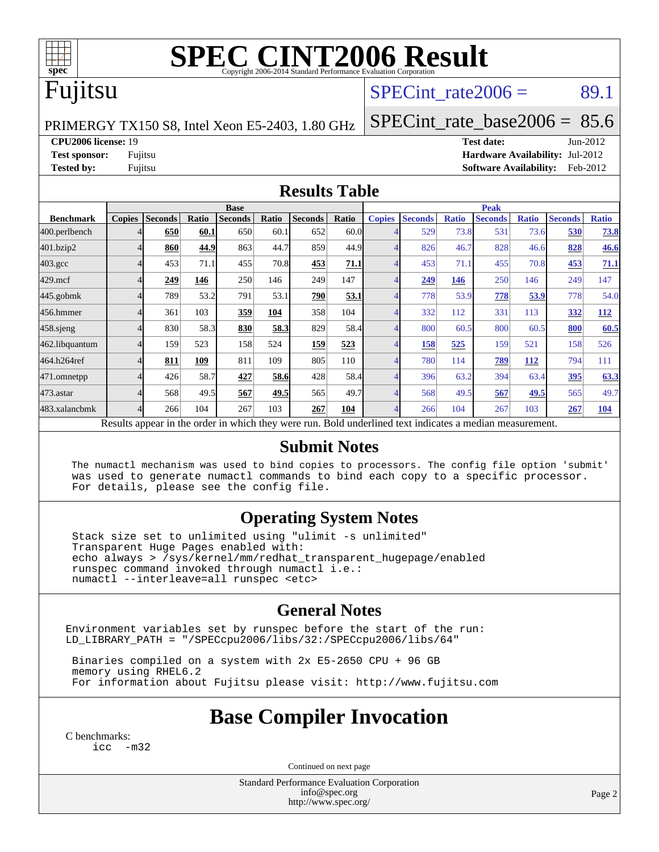

# **[SPEC CINT2006 Result](http://www.spec.org/auto/cpu2006/Docs/result-fields.html#SPECCINT2006Result)**

### Fujitsu

### SPECint rate $2006 = 89.1$

PRIMERGY TX150 S8, Intel Xeon E5-2403, 1.80 GHz

[SPECint\\_rate\\_base2006 =](http://www.spec.org/auto/cpu2006/Docs/result-fields.html#SPECintratebase2006) 85.6

**[CPU2006 license:](http://www.spec.org/auto/cpu2006/Docs/result-fields.html#CPU2006license)** 19 **[Test date:](http://www.spec.org/auto/cpu2006/Docs/result-fields.html#Testdate)** Jun-2012 **[Test sponsor:](http://www.spec.org/auto/cpu2006/Docs/result-fields.html#Testsponsor)** Fujitsu **[Hardware Availability:](http://www.spec.org/auto/cpu2006/Docs/result-fields.html#HardwareAvailability)** Jul-2012 **[Tested by:](http://www.spec.org/auto/cpu2006/Docs/result-fields.html#Testedby)** Fujitsu **[Software Availability:](http://www.spec.org/auto/cpu2006/Docs/result-fields.html#SoftwareAvailability)** Feb-2012

#### **[Results Table](http://www.spec.org/auto/cpu2006/Docs/result-fields.html#ResultsTable)**

|                                                                                                          | <b>Base</b>   |                |       |                |            |                | <b>Peak</b> |               |                |              |                |              |                |              |
|----------------------------------------------------------------------------------------------------------|---------------|----------------|-------|----------------|------------|----------------|-------------|---------------|----------------|--------------|----------------|--------------|----------------|--------------|
| <b>Benchmark</b>                                                                                         | <b>Copies</b> | <b>Seconds</b> | Ratio | <b>Seconds</b> | Ratio      | <b>Seconds</b> | Ratio       | <b>Copies</b> | <b>Seconds</b> | <b>Ratio</b> | <b>Seconds</b> | <b>Ratio</b> | <b>Seconds</b> | <b>Ratio</b> |
| 400.perlbench                                                                                            |               | 650            | 60.1  | 650            | 60.1       | 652            | 60.0        |               | 529            | 73.8         | 531            | 73.6         | 530            | <u>73.8</u>  |
| 401.bzip2                                                                                                |               | 860            | 44.9  | 863            | 44.7       | 859            | 44.9        |               | 826            | 46.7         | 828            | 46.6         | 828            | <b>46.6</b>  |
| $403.\mathrm{gcc}$                                                                                       |               | 453            | 71.1  | 455            | 70.8       | 453            | 71.1        | 4             | 453            | 71.1         | 455            | 70.8         | 453            | 71.1         |
| $429$ .mcf                                                                                               |               | 249            | 146   | 250            | 146        | 249            | 147         |               | 249            | 146          | 250            | 146          | 249            | 147          |
| $445$ .gobm $k$                                                                                          |               | 789            | 53.2  | 791            | 53.1       | 290            | 53.1        | 4             | 778            | 53.9         | 778            | 53.9         | 778            | 54.0         |
| 456.hmmer                                                                                                |               | 361            | 103   | 359            | <b>104</b> | 358            | 104         |               | 332            | 112          | 331            | 113          | 332            | <b>112</b>   |
| $458$ .sjeng                                                                                             |               | 830            | 58.3  | 830            | 58.3       | 829            | 58.4        | 4             | 800            | 60.5         | 800            | 60.5         | 800            | 60.5         |
| 462.libquantum                                                                                           |               | 159            | 523   | 158            | 524        | 159            | 523         | 4             | 158            | 525          | 159            | 521          | 158            | 526          |
| 464.h264ref                                                                                              |               | 811            | 109   | 811            | 109        | 805            | 110         |               | 780            | 114          | 789            | 112          | 794            | 111          |
| 471.omnetpp                                                                                              |               | 426            | 58.7  | 427            | 58.6       | 428            | 58.4        | 4             | 396            | 63.2         | 394            | 63.4         | 395            | 63.3         |
| 473.astar                                                                                                |               | 568            | 49.5  | 567            | 49.5       | 565            | 49.7        | 4             | 568            | 49.5         | 567            | 49.5         | 565            | 49.7         |
| 483.xalancbmk                                                                                            |               | 266            | 104   | 267            | 103        | 267            | 104         | 4             | 266            | 104          | 267            | 103          | 267            | 104          |
| Results appear in the order in which they were run. Bold underlined text indicates a median measurement. |               |                |       |                |            |                |             |               |                |              |                |              |                |              |

#### **[Submit Notes](http://www.spec.org/auto/cpu2006/Docs/result-fields.html#SubmitNotes)**

 The numactl mechanism was used to bind copies to processors. The config file option 'submit' was used to generate numactl commands to bind each copy to a specific processor. For details, please see the config file.

### **[Operating System Notes](http://www.spec.org/auto/cpu2006/Docs/result-fields.html#OperatingSystemNotes)**

 Stack size set to unlimited using "ulimit -s unlimited" Transparent Huge Pages enabled with: echo always > /sys/kernel/mm/redhat\_transparent\_hugepage/enabled runspec command invoked through numactl i.e.: numactl --interleave=all runspec <etc>

### **[General Notes](http://www.spec.org/auto/cpu2006/Docs/result-fields.html#GeneralNotes)**

Environment variables set by runspec before the start of the run: LD\_LIBRARY\_PATH = "/SPECcpu2006/libs/32:/SPECcpu2006/libs/64"

 Binaries compiled on a system with 2x E5-2650 CPU + 96 GB memory using RHEL6.2 For information about Fujitsu please visit: <http://www.fujitsu.com>

### **[Base Compiler Invocation](http://www.spec.org/auto/cpu2006/Docs/result-fields.html#BaseCompilerInvocation)**

[C benchmarks](http://www.spec.org/auto/cpu2006/Docs/result-fields.html#Cbenchmarks): [icc -m32](http://www.spec.org/cpu2006/results/res2012q3/cpu2006-20120810-24108.flags.html#user_CCbase_intel_icc_5ff4a39e364c98233615fdd38438c6f2)

Continued on next page

Standard Performance Evaluation Corporation [info@spec.org](mailto:info@spec.org) <http://www.spec.org/>

Page 2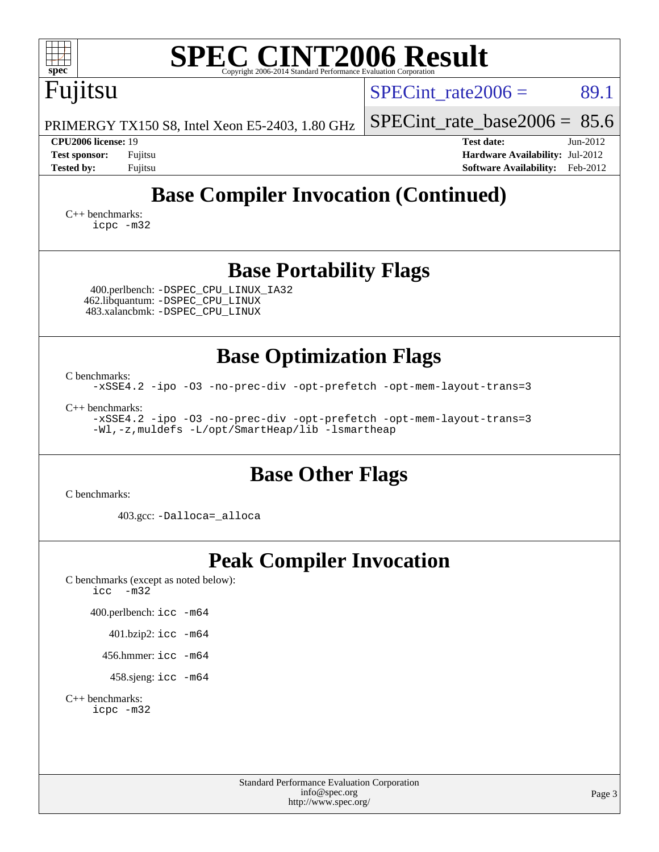| spec <sup>®</sup>                                                                                             |                                                                                             | <b>SPEC CINT2006 Result</b>                                                           |                        |
|---------------------------------------------------------------------------------------------------------------|---------------------------------------------------------------------------------------------|---------------------------------------------------------------------------------------|------------------------|
| Fujitsu                                                                                                       |                                                                                             | $SPECint rate 2006 =$                                                                 | 89.1                   |
| PRIMERGY TX150 S8, Intel Xeon E5-2403, 1.80 GHz                                                               |                                                                                             | $SPECint$ rate_base2006 = 85.6                                                        |                        |
| <b>CPU2006</b> license: 19<br><b>Test sponsor:</b><br>Fujitsu<br><b>Tested by:</b><br>Fujitsu                 |                                                                                             | <b>Test date:</b><br>Hardware Availability: Jul-2012<br><b>Software Availability:</b> | $Jun-2012$<br>Feb-2012 |
|                                                                                                               |                                                                                             | <b>Base Compiler Invocation (Continued)</b>                                           |                        |
| $C_{++}$ benchmarks:<br>icpc -m32                                                                             |                                                                                             |                                                                                       |                        |
|                                                                                                               | <b>Base Portability Flags</b>                                                               |                                                                                       |                        |
| 400.perlbench: - DSPEC CPU LINUX IA32<br>462.libquantum: - DSPEC_CPU_LINUX<br>483.xalancbmk: -DSPEC_CPU_LINUX |                                                                                             |                                                                                       |                        |
|                                                                                                               | <b>Base Optimization Flags</b>                                                              |                                                                                       |                        |
| C benchmarks:                                                                                                 |                                                                                             | -xSSE4.2 -ipo -03 -no-prec-div -opt-prefetch -opt-mem-layout-trans=3                  |                        |
| $C_{++}$ benchmarks:<br>-Wl,-z, muldefs -L/opt/SmartHeap/lib -lsmartheap                                      |                                                                                             | -xSSE4.2 -ipo -03 -no-prec-div -opt-prefetch -opt-mem-layout-trans=3                  |                        |
| C benchmarks:                                                                                                 | <b>Base Other Flags</b>                                                                     |                                                                                       |                        |
| 403.gcc: -Dalloca=_alloca                                                                                     |                                                                                             |                                                                                       |                        |
| C benchmarks (except as noted below):<br>$-m32$<br>icc                                                        | <b>Peak Compiler Invocation</b>                                                             |                                                                                       |                        |
| 400.perlbench: icc -m64                                                                                       |                                                                                             |                                                                                       |                        |
| 401.bzip2: icc -m64                                                                                           |                                                                                             |                                                                                       |                        |
| 456.hmmer: $\text{icc}$ -m64                                                                                  |                                                                                             |                                                                                       |                        |
| 458.sjeng: icc -m64                                                                                           |                                                                                             |                                                                                       |                        |
| $C_{++}$ benchmarks:<br>icpc -m32                                                                             |                                                                                             |                                                                                       |                        |
|                                                                                                               | <b>Standard Performance Evaluation Corporation</b><br>info@spec.org<br>http://www.spec.org/ |                                                                                       | Page 3                 |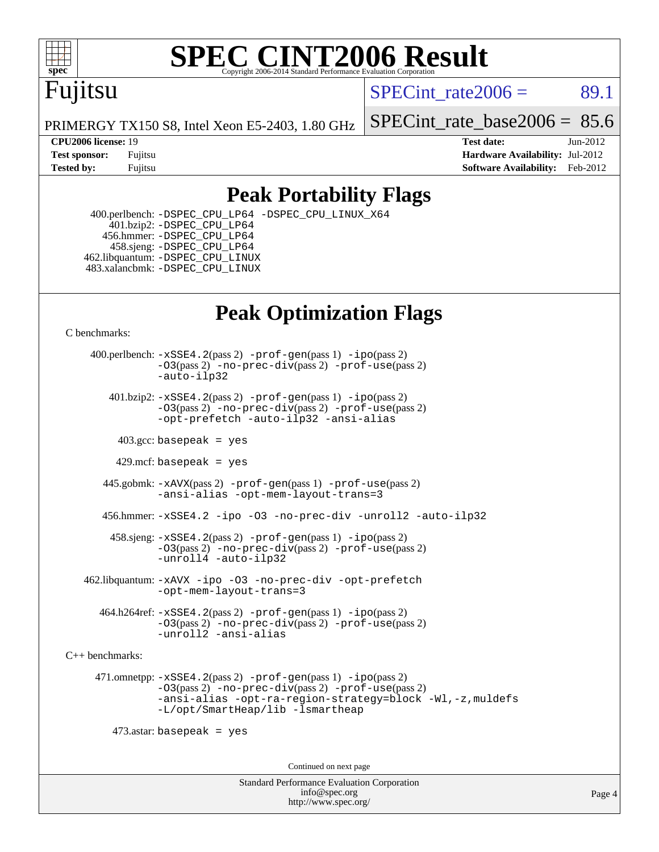

# **[SPEC CINT2006 Result](http://www.spec.org/auto/cpu2006/Docs/result-fields.html#SPECCINT2006Result)**

## Fujitsu

 $SPECint rate2006 = 89.1$ 

PRIMERGY TX150 S8, Intel Xeon E5-2403, 1.80 GHz

[SPECint\\_rate\\_base2006 =](http://www.spec.org/auto/cpu2006/Docs/result-fields.html#SPECintratebase2006)  $85.6$ 

**[CPU2006 license:](http://www.spec.org/auto/cpu2006/Docs/result-fields.html#CPU2006license)** 19 **[Test date:](http://www.spec.org/auto/cpu2006/Docs/result-fields.html#Testdate)** Jun-2012 **[Test sponsor:](http://www.spec.org/auto/cpu2006/Docs/result-fields.html#Testsponsor)** Fujitsu **[Hardware Availability:](http://www.spec.org/auto/cpu2006/Docs/result-fields.html#HardwareAvailability)** Jul-2012 **[Tested by:](http://www.spec.org/auto/cpu2006/Docs/result-fields.html#Testedby)** Fujitsu **Fugital Example 2012 [Software Availability:](http://www.spec.org/auto/cpu2006/Docs/result-fields.html#SoftwareAvailability)** Feb-2012

### **[Peak Portability Flags](http://www.spec.org/auto/cpu2006/Docs/result-fields.html#PeakPortabilityFlags)**

 400.perlbench: [-DSPEC\\_CPU\\_LP64](http://www.spec.org/cpu2006/results/res2012q3/cpu2006-20120810-24108.flags.html#b400.perlbench_peakCPORTABILITY_DSPEC_CPU_LP64) [-DSPEC\\_CPU\\_LINUX\\_X64](http://www.spec.org/cpu2006/results/res2012q3/cpu2006-20120810-24108.flags.html#b400.perlbench_peakCPORTABILITY_DSPEC_CPU_LINUX_X64) 401.bzip2: [-DSPEC\\_CPU\\_LP64](http://www.spec.org/cpu2006/results/res2012q3/cpu2006-20120810-24108.flags.html#suite_peakCPORTABILITY401_bzip2_DSPEC_CPU_LP64) 456.hmmer: [-DSPEC\\_CPU\\_LP64](http://www.spec.org/cpu2006/results/res2012q3/cpu2006-20120810-24108.flags.html#suite_peakCPORTABILITY456_hmmer_DSPEC_CPU_LP64) 458.sjeng: [-DSPEC\\_CPU\\_LP64](http://www.spec.org/cpu2006/results/res2012q3/cpu2006-20120810-24108.flags.html#suite_peakCPORTABILITY458_sjeng_DSPEC_CPU_LP64) 462.libquantum: [-DSPEC\\_CPU\\_LINUX](http://www.spec.org/cpu2006/results/res2012q3/cpu2006-20120810-24108.flags.html#b462.libquantum_peakCPORTABILITY_DSPEC_CPU_LINUX) 483.xalancbmk: [-DSPEC\\_CPU\\_LINUX](http://www.spec.org/cpu2006/results/res2012q3/cpu2006-20120810-24108.flags.html#b483.xalancbmk_peakCXXPORTABILITY_DSPEC_CPU_LINUX)

### **[Peak Optimization Flags](http://www.spec.org/auto/cpu2006/Docs/result-fields.html#PeakOptimizationFlags)**

[C benchmarks](http://www.spec.org/auto/cpu2006/Docs/result-fields.html#Cbenchmarks):

 400.perlbench: [-xSSE4.2](http://www.spec.org/cpu2006/results/res2012q3/cpu2006-20120810-24108.flags.html#user_peakPASS2_CFLAGSPASS2_LDCFLAGS400_perlbench_f-xSSE42_f91528193cf0b216347adb8b939d4107)(pass 2) [-prof-gen](http://www.spec.org/cpu2006/results/res2012q3/cpu2006-20120810-24108.flags.html#user_peakPASS1_CFLAGSPASS1_LDCFLAGS400_perlbench_prof_gen_e43856698f6ca7b7e442dfd80e94a8fc)(pass 1) [-ipo](http://www.spec.org/cpu2006/results/res2012q3/cpu2006-20120810-24108.flags.html#user_peakPASS2_CFLAGSPASS2_LDCFLAGS400_perlbench_f-ipo)(pass 2) [-O3](http://www.spec.org/cpu2006/results/res2012q3/cpu2006-20120810-24108.flags.html#user_peakPASS2_CFLAGSPASS2_LDCFLAGS400_perlbench_f-O3)(pass 2) [-no-prec-div](http://www.spec.org/cpu2006/results/res2012q3/cpu2006-20120810-24108.flags.html#user_peakPASS2_CFLAGSPASS2_LDCFLAGS400_perlbench_f-no-prec-div)(pass 2) [-prof-use](http://www.spec.org/cpu2006/results/res2012q3/cpu2006-20120810-24108.flags.html#user_peakPASS2_CFLAGSPASS2_LDCFLAGS400_perlbench_prof_use_bccf7792157ff70d64e32fe3e1250b55)(pass 2) [-auto-ilp32](http://www.spec.org/cpu2006/results/res2012q3/cpu2006-20120810-24108.flags.html#user_peakCOPTIMIZE400_perlbench_f-auto-ilp32) 401.bzip2: [-xSSE4.2](http://www.spec.org/cpu2006/results/res2012q3/cpu2006-20120810-24108.flags.html#user_peakPASS2_CFLAGSPASS2_LDCFLAGS401_bzip2_f-xSSE42_f91528193cf0b216347adb8b939d4107)(pass 2) [-prof-gen](http://www.spec.org/cpu2006/results/res2012q3/cpu2006-20120810-24108.flags.html#user_peakPASS1_CFLAGSPASS1_LDCFLAGS401_bzip2_prof_gen_e43856698f6ca7b7e442dfd80e94a8fc)(pass 1) [-ipo](http://www.spec.org/cpu2006/results/res2012q3/cpu2006-20120810-24108.flags.html#user_peakPASS2_CFLAGSPASS2_LDCFLAGS401_bzip2_f-ipo)(pass 2) [-O3](http://www.spec.org/cpu2006/results/res2012q3/cpu2006-20120810-24108.flags.html#user_peakPASS2_CFLAGSPASS2_LDCFLAGS401_bzip2_f-O3)(pass 2) [-no-prec-div](http://www.spec.org/cpu2006/results/res2012q3/cpu2006-20120810-24108.flags.html#user_peakPASS2_CFLAGSPASS2_LDCFLAGS401_bzip2_f-no-prec-div)(pass 2) [-prof-use](http://www.spec.org/cpu2006/results/res2012q3/cpu2006-20120810-24108.flags.html#user_peakPASS2_CFLAGSPASS2_LDCFLAGS401_bzip2_prof_use_bccf7792157ff70d64e32fe3e1250b55)(pass 2) [-opt-prefetch](http://www.spec.org/cpu2006/results/res2012q3/cpu2006-20120810-24108.flags.html#user_peakCOPTIMIZE401_bzip2_f-opt-prefetch) [-auto-ilp32](http://www.spec.org/cpu2006/results/res2012q3/cpu2006-20120810-24108.flags.html#user_peakCOPTIMIZE401_bzip2_f-auto-ilp32) [-ansi-alias](http://www.spec.org/cpu2006/results/res2012q3/cpu2006-20120810-24108.flags.html#user_peakCOPTIMIZE401_bzip2_f-ansi-alias)  $403.\text{sec: basepeak}$  = yes 429.mcf: basepeak = yes 445.gobmk: [-xAVX](http://www.spec.org/cpu2006/results/res2012q3/cpu2006-20120810-24108.flags.html#user_peakPASS2_CFLAGSPASS2_LDCFLAGS445_gobmk_f-xAVX)(pass 2) [-prof-gen](http://www.spec.org/cpu2006/results/res2012q3/cpu2006-20120810-24108.flags.html#user_peakPASS1_CFLAGSPASS1_LDCFLAGS445_gobmk_prof_gen_e43856698f6ca7b7e442dfd80e94a8fc)(pass 1) [-prof-use](http://www.spec.org/cpu2006/results/res2012q3/cpu2006-20120810-24108.flags.html#user_peakPASS2_CFLAGSPASS2_LDCFLAGS445_gobmk_prof_use_bccf7792157ff70d64e32fe3e1250b55)(pass 2)

[-ansi-alias](http://www.spec.org/cpu2006/results/res2012q3/cpu2006-20120810-24108.flags.html#user_peakCOPTIMIZE445_gobmk_f-ansi-alias) [-opt-mem-layout-trans=3](http://www.spec.org/cpu2006/results/res2012q3/cpu2006-20120810-24108.flags.html#user_peakCOPTIMIZE445_gobmk_f-opt-mem-layout-trans_a7b82ad4bd7abf52556d4961a2ae94d5)

456.hmmer: [-xSSE4.2](http://www.spec.org/cpu2006/results/res2012q3/cpu2006-20120810-24108.flags.html#user_peakCOPTIMIZE456_hmmer_f-xSSE42_f91528193cf0b216347adb8b939d4107) [-ipo](http://www.spec.org/cpu2006/results/res2012q3/cpu2006-20120810-24108.flags.html#user_peakCOPTIMIZE456_hmmer_f-ipo) [-O3](http://www.spec.org/cpu2006/results/res2012q3/cpu2006-20120810-24108.flags.html#user_peakCOPTIMIZE456_hmmer_f-O3) [-no-prec-div](http://www.spec.org/cpu2006/results/res2012q3/cpu2006-20120810-24108.flags.html#user_peakCOPTIMIZE456_hmmer_f-no-prec-div) [-unroll2](http://www.spec.org/cpu2006/results/res2012q3/cpu2006-20120810-24108.flags.html#user_peakCOPTIMIZE456_hmmer_f-unroll_784dae83bebfb236979b41d2422d7ec2) [-auto-ilp32](http://www.spec.org/cpu2006/results/res2012q3/cpu2006-20120810-24108.flags.html#user_peakCOPTIMIZE456_hmmer_f-auto-ilp32)

 458.sjeng: [-xSSE4.2](http://www.spec.org/cpu2006/results/res2012q3/cpu2006-20120810-24108.flags.html#user_peakPASS2_CFLAGSPASS2_LDCFLAGS458_sjeng_f-xSSE42_f91528193cf0b216347adb8b939d4107)(pass 2) [-prof-gen](http://www.spec.org/cpu2006/results/res2012q3/cpu2006-20120810-24108.flags.html#user_peakPASS1_CFLAGSPASS1_LDCFLAGS458_sjeng_prof_gen_e43856698f6ca7b7e442dfd80e94a8fc)(pass 1) [-ipo](http://www.spec.org/cpu2006/results/res2012q3/cpu2006-20120810-24108.flags.html#user_peakPASS2_CFLAGSPASS2_LDCFLAGS458_sjeng_f-ipo)(pass 2) [-O3](http://www.spec.org/cpu2006/results/res2012q3/cpu2006-20120810-24108.flags.html#user_peakPASS2_CFLAGSPASS2_LDCFLAGS458_sjeng_f-O3)(pass 2) [-no-prec-div](http://www.spec.org/cpu2006/results/res2012q3/cpu2006-20120810-24108.flags.html#user_peakPASS2_CFLAGSPASS2_LDCFLAGS458_sjeng_f-no-prec-div)(pass 2) [-prof-use](http://www.spec.org/cpu2006/results/res2012q3/cpu2006-20120810-24108.flags.html#user_peakPASS2_CFLAGSPASS2_LDCFLAGS458_sjeng_prof_use_bccf7792157ff70d64e32fe3e1250b55)(pass 2) [-unroll4](http://www.spec.org/cpu2006/results/res2012q3/cpu2006-20120810-24108.flags.html#user_peakCOPTIMIZE458_sjeng_f-unroll_4e5e4ed65b7fd20bdcd365bec371b81f) [-auto-ilp32](http://www.spec.org/cpu2006/results/res2012q3/cpu2006-20120810-24108.flags.html#user_peakCOPTIMIZE458_sjeng_f-auto-ilp32)

 462.libquantum: [-xAVX](http://www.spec.org/cpu2006/results/res2012q3/cpu2006-20120810-24108.flags.html#user_peakCOPTIMIZE462_libquantum_f-xAVX) [-ipo](http://www.spec.org/cpu2006/results/res2012q3/cpu2006-20120810-24108.flags.html#user_peakCOPTIMIZE462_libquantum_f-ipo) [-O3](http://www.spec.org/cpu2006/results/res2012q3/cpu2006-20120810-24108.flags.html#user_peakCOPTIMIZE462_libquantum_f-O3) [-no-prec-div](http://www.spec.org/cpu2006/results/res2012q3/cpu2006-20120810-24108.flags.html#user_peakCOPTIMIZE462_libquantum_f-no-prec-div) [-opt-prefetch](http://www.spec.org/cpu2006/results/res2012q3/cpu2006-20120810-24108.flags.html#user_peakCOPTIMIZE462_libquantum_f-opt-prefetch) [-opt-mem-layout-trans=3](http://www.spec.org/cpu2006/results/res2012q3/cpu2006-20120810-24108.flags.html#user_peakCOPTIMIZE462_libquantum_f-opt-mem-layout-trans_a7b82ad4bd7abf52556d4961a2ae94d5)

 $464.h264$ ref:  $-xSSE4$ .  $2(pass 2)$  [-prof-gen](http://www.spec.org/cpu2006/results/res2012q3/cpu2006-20120810-24108.flags.html#user_peakPASS1_CFLAGSPASS1_LDCFLAGS464_h264ref_prof_gen_e43856698f6ca7b7e442dfd80e94a8fc) $(pass 1)$  [-ipo](http://www.spec.org/cpu2006/results/res2012q3/cpu2006-20120810-24108.flags.html#user_peakPASS2_CFLAGSPASS2_LDCFLAGS464_h264ref_f-ipo) $(pass 2)$ [-O3](http://www.spec.org/cpu2006/results/res2012q3/cpu2006-20120810-24108.flags.html#user_peakPASS2_CFLAGSPASS2_LDCFLAGS464_h264ref_f-O3)(pass 2) [-no-prec-div](http://www.spec.org/cpu2006/results/res2012q3/cpu2006-20120810-24108.flags.html#user_peakPASS2_CFLAGSPASS2_LDCFLAGS464_h264ref_f-no-prec-div)(pass 2) [-prof-use](http://www.spec.org/cpu2006/results/res2012q3/cpu2006-20120810-24108.flags.html#user_peakPASS2_CFLAGSPASS2_LDCFLAGS464_h264ref_prof_use_bccf7792157ff70d64e32fe3e1250b55)(pass 2) [-unroll2](http://www.spec.org/cpu2006/results/res2012q3/cpu2006-20120810-24108.flags.html#user_peakCOPTIMIZE464_h264ref_f-unroll_784dae83bebfb236979b41d2422d7ec2) [-ansi-alias](http://www.spec.org/cpu2006/results/res2012q3/cpu2006-20120810-24108.flags.html#user_peakCOPTIMIZE464_h264ref_f-ansi-alias)

[C++ benchmarks:](http://www.spec.org/auto/cpu2006/Docs/result-fields.html#CXXbenchmarks)

 471.omnetpp: [-xSSE4.2](http://www.spec.org/cpu2006/results/res2012q3/cpu2006-20120810-24108.flags.html#user_peakPASS2_CXXFLAGSPASS2_LDCXXFLAGS471_omnetpp_f-xSSE42_f91528193cf0b216347adb8b939d4107)(pass 2) [-prof-gen](http://www.spec.org/cpu2006/results/res2012q3/cpu2006-20120810-24108.flags.html#user_peakPASS1_CXXFLAGSPASS1_LDCXXFLAGS471_omnetpp_prof_gen_e43856698f6ca7b7e442dfd80e94a8fc)(pass 1) [-ipo](http://www.spec.org/cpu2006/results/res2012q3/cpu2006-20120810-24108.flags.html#user_peakPASS2_CXXFLAGSPASS2_LDCXXFLAGS471_omnetpp_f-ipo)(pass 2) [-O3](http://www.spec.org/cpu2006/results/res2012q3/cpu2006-20120810-24108.flags.html#user_peakPASS2_CXXFLAGSPASS2_LDCXXFLAGS471_omnetpp_f-O3)(pass 2) [-no-prec-div](http://www.spec.org/cpu2006/results/res2012q3/cpu2006-20120810-24108.flags.html#user_peakPASS2_CXXFLAGSPASS2_LDCXXFLAGS471_omnetpp_f-no-prec-div)(pass 2) [-prof-use](http://www.spec.org/cpu2006/results/res2012q3/cpu2006-20120810-24108.flags.html#user_peakPASS2_CXXFLAGSPASS2_LDCXXFLAGS471_omnetpp_prof_use_bccf7792157ff70d64e32fe3e1250b55)(pass 2) [-ansi-alias](http://www.spec.org/cpu2006/results/res2012q3/cpu2006-20120810-24108.flags.html#user_peakCXXOPTIMIZE471_omnetpp_f-ansi-alias) [-opt-ra-region-strategy=block](http://www.spec.org/cpu2006/results/res2012q3/cpu2006-20120810-24108.flags.html#user_peakCXXOPTIMIZE471_omnetpp_f-opt-ra-region-strategy_a0a37c372d03933b2a18d4af463c1f69) [-Wl,-z,muldefs](http://www.spec.org/cpu2006/results/res2012q3/cpu2006-20120810-24108.flags.html#user_peakEXTRA_LDFLAGS471_omnetpp_link_force_multiple1_74079c344b956b9658436fd1b6dd3a8a) [-L/opt/SmartHeap/lib -lsmartheap](http://www.spec.org/cpu2006/results/res2012q3/cpu2006-20120810-24108.flags.html#user_peakEXTRA_LIBS471_omnetpp_SmartHeap_1046f488ce4b4d9d2689b01742ccb999)

 $473$ .astar: basepeak = yes

Continued on next page

Standard Performance Evaluation Corporation [info@spec.org](mailto:info@spec.org) <http://www.spec.org/>